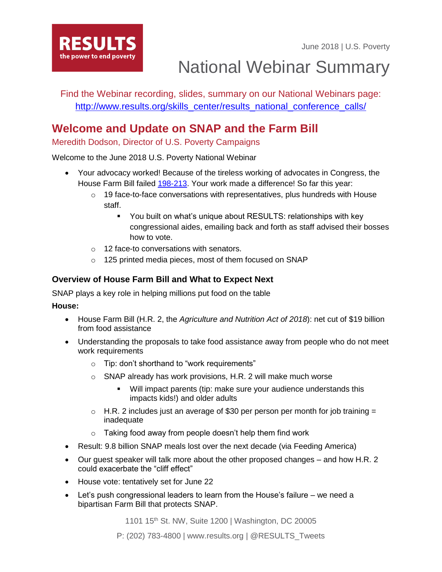June 2018 | U.S. Poverty



National Webinar Summary

Find the Webinar recording, slides, summary on our National Webinars page: [http://www.results.org/skills\\_center/results\\_national\\_conference\\_calls/](http://www.results.org/skills_center/results_national_conference_calls/)

# **Welcome and Update on SNAP and the Farm Bill**

Meredith Dodson, Director of U.S. Poverty Campaigns

Welcome to the June 2018 U.S. Poverty National Webinar

- Your advocacy worked! Because of the tireless working of advocates in Congress, the House Farm Bill failed [198-213.](http://clerk.house.gov/evs/2018/roll205.xml) Your work made a difference! So far this year:
	- $\circ$  19 face-to-face conversations with representatives, plus hundreds with House staff.
		- You built on what's unique about RESULTS: relationships with key congressional aides, emailing back and forth as staff advised their bosses how to vote.
	- o 12 face-to conversations with senators.
	- o 125 printed media pieces, most of them focused on SNAP

### **Overview of House Farm Bill and What to Expect Next**

SNAP plays a key role in helping millions put food on the table

### **House:**

- House Farm Bill (H.R. 2, the *Agriculture and Nutrition Act of 2018*): net cut of \$19 billion from food assistance
- Understanding the proposals to take food assistance away from people who do not meet work requirements
	- o Tip: don't shorthand to "work requirements"
	- o SNAP already has work provisions, H.R. 2 will make much worse
		- Will impact parents (tip: make sure your audience understands this impacts kids!) and older adults
	- $\circ$  H.R. 2 includes just an average of \$30 per person per month for job training = inadequate
	- $\circ$  Taking food away from people doesn't help them find work
- Result: 9.8 billion SNAP meals lost over the next decade (via Feeding America)
- Our guest speaker will talk more about the other proposed changes and how H.R. 2 could exacerbate the "cliff effect"
- House vote: tentatively set for June 22
- Let's push congressional leaders to learn from the House's failure we need a bipartisan Farm Bill that protects SNAP.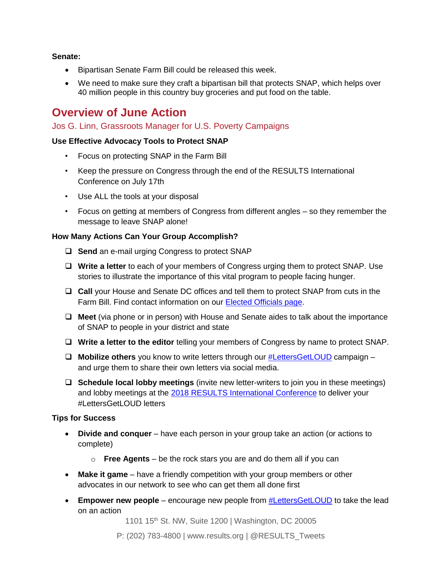### **Senate:**

- Bipartisan Senate Farm Bill could be released this week.
- We need to make sure they craft a bipartisan bill that protects SNAP, which helps over 40 million people in this country buy groceries and put food on the table.

## **Overview of June Action**

### Jos G. Linn, Grassroots Manager for U.S. Poverty Campaigns

### **Use Effective Advocacy Tools to Protect SNAP**

- Focus on protecting SNAP in the Farm Bill
- Keep the pressure on Congress through the end of the RESULTS International Conference on July 17th
- Use ALL the tools at your disposal
- Focus on getting at members of Congress from different angles so they remember the message to leave SNAP alone!

#### **How Many Actions Can Your Group Accomplish?**

- □ **Send** an e-mail urging Congress to protect SNAP
- **Write a letter** to each of your members of Congress urging them to protect SNAP. Use stories to illustrate the importance of this vital program to people facing hunger.
- **Call** your House and Senate DC offices and tell them to protect SNAP from cuts in the Farm Bill. Find contact information on our [Elected Officials page.](https://www.results.org/take-action/action-center?vvsrc=%2fAddress)
- **Meet** (via phone or in person) with House and Senate aides to talk about the importance of SNAP to people in your district and state
- **Write a letter to the editor** telling your members of Congress by name to protect SNAP.
- **Mobilize others** you know to write letters through our [#LettersGetLOUD](http://www.results.org/lettersgetloud) campaign and urge them to share their own letters via social media.
- **Schedule local lobby meetings** (invite new letter-writers to join you in these meetings) and lobby meetings at the [2018 RESULTS International Conference](http://www.resultsconference.org/) to deliver your #LettersGetLOUD letters

#### **Tips for Success**

- **Divide and conquer**  have each person in your group take an action (or actions to complete)
	- o **Free Agents** be the rock stars you are and do them all if you can
- **Make it game**  have a friendly competition with your group members or other advocates in our network to see who can get them all done first
- **Empower new people** encourage new people from **#LettersGetLOUD** to take the lead on an action

1101 15<sup>th</sup> St. NW, Suite 1200 | Washington, DC 20005

P: (202) 783-4800 | www.results.org | @RESULTS\_Tweets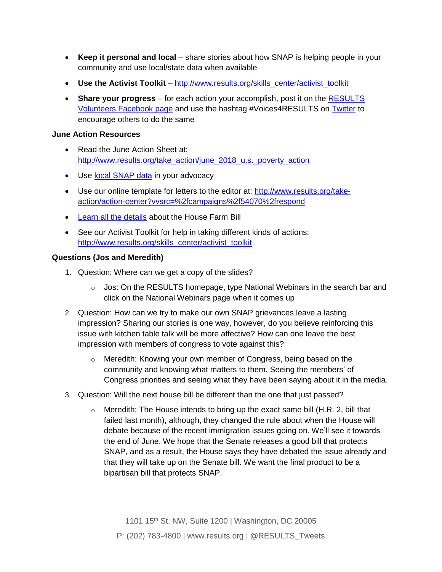- **Keep it personal and local** share stories about how SNAP is helping people in your community and use local/state data when available
- **Use the Activist Toolkit** [http://www.results.org/skills\\_center/activist\\_toolkit](http://www.results.org/skills_center/activist_toolkit)
- **Share your progress**  for each action your accomplish, post it on the [RESULTS](https://www.facebook.com/groups/RESULTSVolunteers/)  [Volunteers Facebook page](https://www.facebook.com/groups/RESULTSVolunteers/) and use the hashtag #Voices4RESULTS on [Twitter](https://twitter.com/RESULTS_Tweets) to encourage others to do the same

#### **June Action Resources**

- Read the June Action Sheet at: [http://www.results.org/take\\_action/june\\_2018\\_u.s.\\_poverty\\_action](http://www.results.org/take_action/june_2018_u.s._poverty_action)
- Use [local SNAP data](https://www.cbpp.org/research/a-closer-look-at-who-benefits-from-snap-state-by-state-fact-sheets) in your advocacy
- Use our online template for letters to the editor at: [http://www.results.org/take](http://www.results.org/take-action/action-center?vvsrc=/campaigns/54070/respond)[action/action-center?vvsrc=%2fcampaigns%2f54070%2frespond](http://www.results.org/take-action/action-center?vvsrc=/campaigns/54070/respond)
- [Learn all the details](http://www.frac.org/action/snap-farm-bill) about the House Farm Bill
- See our Activist Toolkit for help in taking different kinds of actions: [http://www.results.org/skills\\_center/activist\\_toolkit](http://www.results.org/skills_center/activist_toolkit)

### **Questions (Jos and Meredith)**

- 1. Question: Where can we get a copy of the slides?
	- $\circ$  Jos: On the RESULTS homepage, type National Webinars in the search bar and click on the National Webinars page when it comes up
- 2. Question: How can we try to make our own SNAP grievances leave a lasting impression? Sharing our stories is one way, however, do you believe reinforcing this issue with kitchen table talk will be more affective? How can one leave the best impression with members of congress to vote against this?
	- o Meredith: Knowing your own member of Congress, being based on the community and knowing what matters to them. Seeing the members' of Congress priorities and seeing what they have been saying about it in the media.
- 3. Question: Will the next house bill be different than the one that just passed?
	- $\circ$  Meredith: The House intends to bring up the exact same bill (H.R. 2, bill that failed last month), although, they changed the rule about when the House will debate because of the recent immigration issues going on. We'll see it towards the end of June. We hope that the Senate releases a good bill that protects SNAP, and as a result, the House says they have debated the issue already and that they will take up on the Senate bill. We want the final product to be a bipartisan bill that protects SNAP.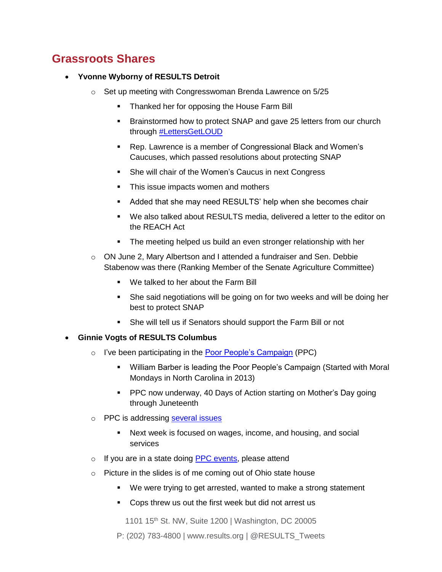## **Grassroots Shares**

### • **Yvonne Wyborny of RESULTS Detroit**

- o Set up meeting with Congresswoman Brenda Lawrence on 5/25
	- **Thanked her for opposing the House Farm Bill**
	- Brainstormed how to protect SNAP and gave 25 letters from our church through [#LettersGetLOUD](http://www.results.org/issues/lettersgetloud)
	- Rep. Lawrence is a member of Congressional Black and Women's Caucuses, which passed resolutions about protecting SNAP
	- She will chair of the Women's Caucus in next Congress
	- This issue impacts women and mothers
	- Added that she may need RESULTS' help when she becomes chair
	- We also talked about RESULTS media, delivered a letter to the editor on the REACH Act
	- The meeting helped us build an even stronger relationship with her
- o ON June 2, Mary Albertson and I attended a fundraiser and Sen. Debbie Stabenow was there (Ranking Member of the Senate Agriculture Committee)
	- We talked to her about the Farm Bill
	- She said negotiations will be going on for two weeks and will be doing her best to protect SNAP
	- She will tell us if Senators should support the Farm Bill or not

### • **Ginnie Vogts of RESULTS Columbus**

- o I've been participating in the [Poor People's Campaign](https://www.poorpeoplescampaign.org/) (PPC)
	- William Barber is leading the Poor People's Campaign (Started with Moral Mondays in North Carolina in 2013)
	- PPC now underway, 40 Days of Action starting on Mother's Day going through Juneteenth
- o PPC is addressing [several](https://www.poorpeoplescampaign.org/demands/) issues
	- Next week is focused on wages, income, and housing, and social services
- o If you are in a state doing [PPC events,](https://www.poorpeoplescampaign.org/events/) please attend
- o Picture in the slides is of me coming out of Ohio state house
	- We were trying to get arrested, wanted to make a strong statement
	- Cops threw us out the first week but did not arrest us

1101 15<sup>th</sup> St. NW, Suite 1200 | Washington, DC 20005

P: (202) 783-4800 | www.results.org | @RESULTS\_Tweets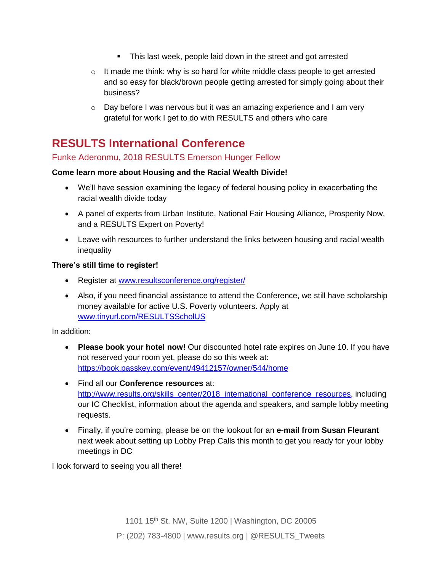- This last week, people laid down in the street and got arrested
- $\circ$  It made me think: why is so hard for white middle class people to get arrested and so easy for black/brown people getting arrested for simply going about their business?
- o Day before I was nervous but it was an amazing experience and I am very grateful for work I get to do with RESULTS and others who care

# **RESULTS International Conference**

### Funke Aderonmu, 2018 RESULTS Emerson Hunger Fellow

### **Come learn more about Housing and the Racial Wealth Divide!**

- We'll have session examining the legacy of federal housing policy in exacerbating the racial wealth divide today
- A panel of experts from Urban Institute, National Fair Housing Alliance, Prosperity Now, and a RESULTS Expert on Poverty!
- Leave with resources to further understand the links between housing and racial wealth inequality

### **There's still time to register!**

- Register at [www.resultsconference.org/register/](http://www.resultsconference.org/register/)
- Also, if you need financial assistance to attend the Conference, we still have scholarship money available for active U.S. Poverty volunteers. Apply at [www.tinyurl.com/RESULTSScholUS](http://www.tinyurl.com/RESULTSScholUS)

In addition:

- **Please book your hotel now!** Our discounted hotel rate expires on June 10. If you have not reserved your room yet, please do so this week at: <https://book.passkey.com/event/49412157/owner/544/home>
- Find all our **Conference resources** at: [http://www.results.org/skills\\_center/2018\\_international\\_conference\\_resources,](http://www.results.org/skills_center/2018_international_conference_resources) including our IC Checklist, information about the agenda and speakers, and sample lobby meeting requests.
- Finally, if you're coming, please be on the lookout for an **e-mail from Susan Fleurant**  next week about setting up Lobby Prep Calls this month to get you ready for your lobby meetings in DC

I look forward to seeing you all there!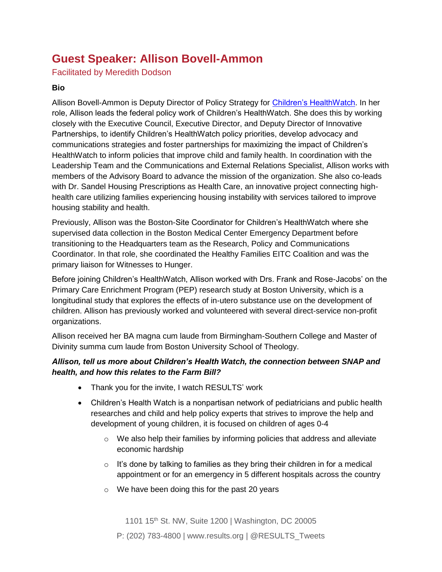# **Guest Speaker: Allison Bovell-Ammon**

Facilitated by Meredith Dodson

### **Bio**

Allison Bovell-Ammon is Deputy Director of Policy Strategy for [Children's HealthWatch.](http://childrenshealthwatch.org/) In her role, Allison leads the federal policy work of Children's HealthWatch. She does this by working closely with the Executive Council, Executive Director, and Deputy Director of Innovative Partnerships, to identify Children's HealthWatch policy priorities, develop advocacy and communications strategies and foster partnerships for maximizing the impact of Children's HealthWatch to inform policies that improve child and family health. In coordination with the Leadership Team and the Communications and External Relations Specialist, Allison works with members of the Advisory Board to advance the mission of the organization. She also co-leads with Dr. Sandel Housing Prescriptions as Health Care, an innovative project connecting highhealth care utilizing families experiencing housing instability with services tailored to improve housing stability and health.

Previously, Allison was the Boston-Site Coordinator for Children's HealthWatch where she supervised data collection in the Boston Medical Center Emergency Department before transitioning to the Headquarters team as the Research, Policy and Communications Coordinator. In that role, she coordinated the Healthy Families EITC Coalition and was the primary liaison for Witnesses to Hunger.

Before joining Children's HealthWatch, Allison worked with Drs. Frank and Rose-Jacobs' on the Primary Care Enrichment Program (PEP) research study at Boston University, which is a longitudinal study that explores the effects of in-utero substance use on the development of children. Allison has previously worked and volunteered with several direct-service non-profit organizations.

Allison received her BA magna cum laude from Birmingham-Southern College and Master of Divinity summa cum laude from Boston University School of Theology.

### *Allison, tell us more about Children's Health Watch, the connection between SNAP and health, and how this relates to the Farm Bill?*

- Thank you for the invite, I watch RESULTS' work
- Children's Health Watch is a nonpartisan network of pediatricians and public health researches and child and help policy experts that strives to improve the help and development of young children, it is focused on children of ages 0-4
	- $\circ$  We also help their families by informing policies that address and alleviate economic hardship
	- $\circ$  It's done by talking to families as they bring their children in for a medical appointment or for an emergency in 5 different hospitals across the country
	- o We have been doing this for the past 20 years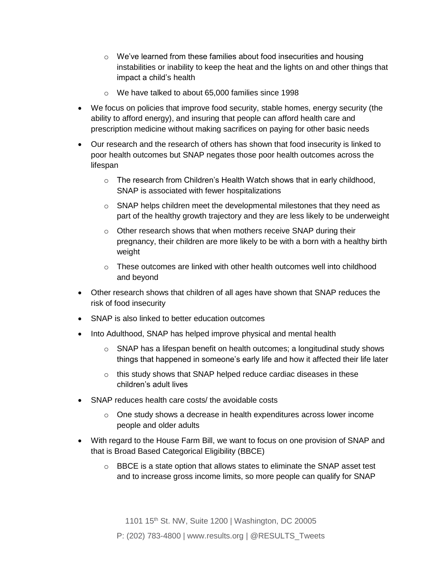- o We've learned from these families about food insecurities and housing instabilities or inability to keep the heat and the lights on and other things that impact a child's health
- o We have talked to about 65,000 families since 1998
- We focus on policies that improve food security, stable homes, energy security (the ability to afford energy), and insuring that people can afford health care and prescription medicine without making sacrifices on paying for other basic needs
- Our research and the research of others has shown that food insecurity is linked to poor health outcomes but SNAP negates those poor health outcomes across the lifespan
	- $\circ$  The research from Children's Health Watch shows that in early childhood, SNAP is associated with fewer hospitalizations
	- $\circ$  SNAP helps children meet the developmental milestones that they need as part of the healthy growth trajectory and they are less likely to be underweight
	- o Other research shows that when mothers receive SNAP during their pregnancy, their children are more likely to be with a born with a healthy birth weight
	- $\circ$  These outcomes are linked with other health outcomes well into childhood and beyond
- Other research shows that children of all ages have shown that SNAP reduces the risk of food insecurity
- SNAP is also linked to better education outcomes
- Into Adulthood, SNAP has helped improve physical and mental health
	- $\circ$  SNAP has a lifespan benefit on health outcomes; a longitudinal study shows things that happened in someone's early life and how it affected their life later
	- o this study shows that SNAP helped reduce cardiac diseases in these children's adult lives
- SNAP reduces health care costs/ the avoidable costs
	- $\circ$  One study shows a decrease in health expenditures across lower income people and older adults
- With regard to the House Farm Bill, we want to focus on one provision of SNAP and that is Broad Based Categorical Eligibility (BBCE)
	- $\circ$  BBCE is a state option that allows states to eliminate the SNAP asset test and to increase gross income limits, so more people can qualify for SNAP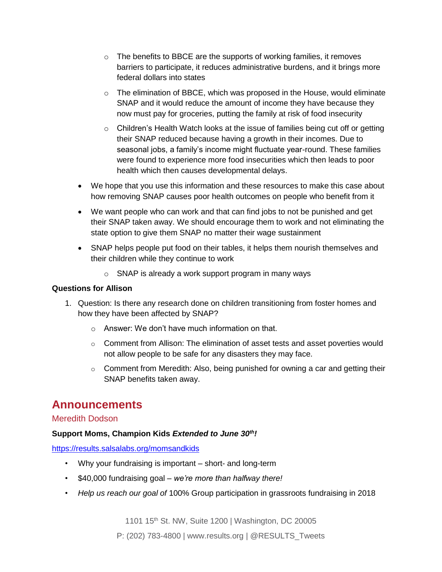- $\circ$  The benefits to BBCE are the supports of working families, it removes barriers to participate, it reduces administrative burdens, and it brings more federal dollars into states
- $\circ$  The elimination of BBCE, which was proposed in the House, would eliminate SNAP and it would reduce the amount of income they have because they now must pay for groceries, putting the family at risk of food insecurity
- $\circ$  Children's Health Watch looks at the issue of families being cut off or getting their SNAP reduced because having a growth in their incomes. Due to seasonal jobs, a family's income might fluctuate year-round. These families were found to experience more food insecurities which then leads to poor health which then causes developmental delays.
- We hope that you use this information and these resources to make this case about how removing SNAP causes poor health outcomes on people who benefit from it
- We want people who can work and that can find jobs to not be punished and get their SNAP taken away. We should encourage them to work and not eliminating the state option to give them SNAP no matter their wage sustainment
- SNAP helps people put food on their tables, it helps them nourish themselves and their children while they continue to work
	- o SNAP is already a work support program in many ways

### **Questions for Allison**

- 1. Question: Is there any research done on children transitioning from foster homes and how they have been affected by SNAP?
	- o Answer: We don't have much information on that.
	- o Comment from Allison: The elimination of asset tests and asset poverties would not allow people to be safe for any disasters they may face.
	- $\circ$  Comment from Meredith: Also, being punished for owning a car and getting their SNAP benefits taken away.

### **Announcements**

### Meredith Dodson

### **Support Moms, Champion Kids** *Extended to June 30th!*

<https://results.salsalabs.org/momsandkids>

- Why your fundraising is important short- and long-term
- \$40,000 fundraising goal *we're more than halfway there!*
- *Help us reach our goal of* 100% Group participation in grassroots fundraising in 2018